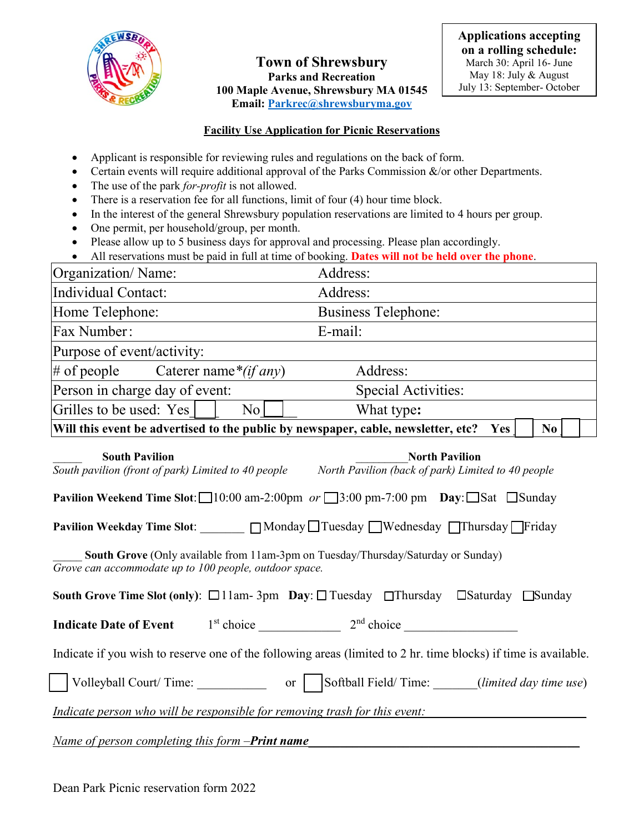

**Town of Shrewsbury Parks and Recreation 100 Maple Avenue, Shrewsbury MA 01545 Email: [Parkrec@shrewsburyma.gov](mailto:Parkrec@shrewsburyma.gov)** 

## **Facility Use Application for Picnic Reservations**

- Applicant is responsible for reviewing rules and regulations on the back of form.
- Certain events will require additional approval of the Parks Commission  $\&$ /or other Departments.
- The use of the park *for-profit* is not allowed.
- There is a reservation fee for all functions, limit of four (4) hour time block.
- In the interest of the general Shrewsbury population reservations are limited to 4 hours per group.
- One permit, per household/group, per month.
- Please allow up to 5 business days for approval and processing. Please plan accordingly.

|  |  | All reservations must be paid in full at time of booking. Dates will not be held over the phone. |  |
|--|--|--------------------------------------------------------------------------------------------------|--|
|--|--|--------------------------------------------------------------------------------------------------|--|

| Organization/Name:                                                                                                                          | Address:                                                                                                                                     |  |  |  |  |
|---------------------------------------------------------------------------------------------------------------------------------------------|----------------------------------------------------------------------------------------------------------------------------------------------|--|--|--|--|
| Individual Contact:                                                                                                                         | Address:                                                                                                                                     |  |  |  |  |
| Home Telephone:                                                                                                                             | <b>Business Telephone:</b>                                                                                                                   |  |  |  |  |
| Fax Number:                                                                                                                                 | E-mail:                                                                                                                                      |  |  |  |  |
| Purpose of event/activity:                                                                                                                  |                                                                                                                                              |  |  |  |  |
| # of people Caterer name * $(if any)$                                                                                                       | Address:                                                                                                                                     |  |  |  |  |
| Person in charge day of event:                                                                                                              | <b>Special Activities:</b>                                                                                                                   |  |  |  |  |
| No <sub>1</sub><br>Grilles to be used: Yes                                                                                                  | What type:                                                                                                                                   |  |  |  |  |
| Will this event be advertised to the public by newspaper, cable, newsletter, etc? Yes                                                       | N <sub>0</sub>                                                                                                                               |  |  |  |  |
| <b>South Pavilion</b>                                                                                                                       | <b>North Pavilion</b><br>$\overline{South}$ pavilion (front of park) Limited to 40 people North Pavilion (back of park) Limited to 40 people |  |  |  |  |
|                                                                                                                                             | <b>Pavilion Weekend Time Slot:</b> $\Box$ 10:00 am-2:00pm or $\Box$ 3:00 pm-7:00 pm <b>Day</b> : $\Box$ Sat $\Box$ Sunday                    |  |  |  |  |
|                                                                                                                                             |                                                                                                                                              |  |  |  |  |
| South Grove (Only available from 11am-3pm on Tuesday/Thursday/Saturday or Sunday)<br>Grove can accommodate up to 100 people, outdoor space. |                                                                                                                                              |  |  |  |  |
| South Grove Time Slot (only): □11am-3pm Day: □ Tuesday □ Thursday □ Saturday □ Sunday                                                       |                                                                                                                                              |  |  |  |  |
| <b>Indicate Date of Event</b>                                                                                                               |                                                                                                                                              |  |  |  |  |
|                                                                                                                                             | Indicate if you wish to reserve one of the following areas (limited to 2 hr. time blocks) if time is available.                              |  |  |  |  |
| Volleyball Court/Time:                                                                                                                      | or Softball Field/Time: <i>(limited day time use)</i>                                                                                        |  |  |  |  |
| Indicate person who will be responsible for removing trash for this event:                                                                  |                                                                                                                                              |  |  |  |  |
| Name of person completing this form -Print name                                                                                             |                                                                                                                                              |  |  |  |  |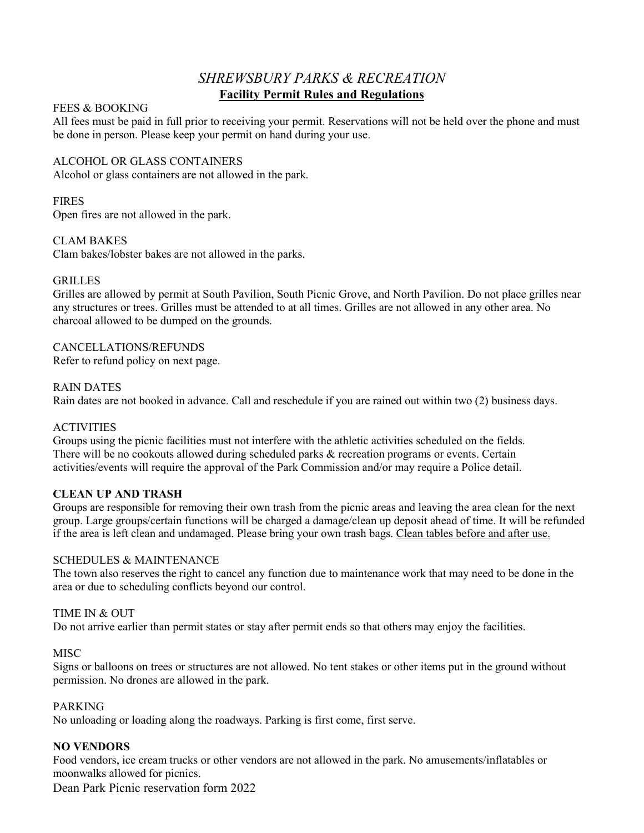# *SHREWSBURY PARKS & RECREATION* **Facility Permit Rules and Regulations**

### FEES & BOOKING

All fees must be paid in full prior to receiving your permit. Reservations will not be held over the phone and must be done in person. Please keep your permit on hand during your use.

### ALCOHOL OR GLASS CONTAINERS

Alcohol or glass containers are not allowed in the park.

### FIRES

Open fires are not allowed in the park.

## CLAM BAKES

Clam bakes/lobster bakes are not allowed in the parks.

## GRILLES

Grilles are allowed by permit at South Pavilion, South Picnic Grove, and North Pavilion. Do not place grilles near any structures or trees. Grilles must be attended to at all times. Grilles are not allowed in any other area. No charcoal allowed to be dumped on the grounds.

CANCELLATIONS/REFUNDS Refer to refund policy on next page.

#### RAIN DATES

Rain dates are not booked in advance. Call and reschedule if you are rained out within two (2) business days.

#### ACTIVITIES

Groups using the picnic facilities must not interfere with the athletic activities scheduled on the fields. There will be no cookouts allowed during scheduled parks & recreation programs or events. Certain activities/events will require the approval of the Park Commission and/or may require a Police detail.

#### **CLEAN UP AND TRASH**

Groups are responsible for removing their own trash from the picnic areas and leaving the area clean for the next group. Large groups/certain functions will be charged a damage/clean up deposit ahead of time. It will be refunded if the area is left clean and undamaged. Please bring your own trash bags. Clean tables before and after use.

#### SCHEDULES & MAINTENANCE

The town also reserves the right to cancel any function due to maintenance work that may need to be done in the area or due to scheduling conflicts beyond our control.

#### TIME IN & OUT

Do not arrive earlier than permit states or stay after permit ends so that others may enjoy the facilities.

## **MISC**

Signs or balloons on trees or structures are not allowed. No tent stakes or other items put in the ground without permission. No drones are allowed in the park.

#### PARKING

No unloading or loading along the roadways. Parking is first come, first serve.

#### **NO VENDORS**

Food vendors, ice cream trucks or other vendors are not allowed in the park. No amusements/inflatables or moonwalks allowed for picnics.

Dean Park Picnic reservation form 2022